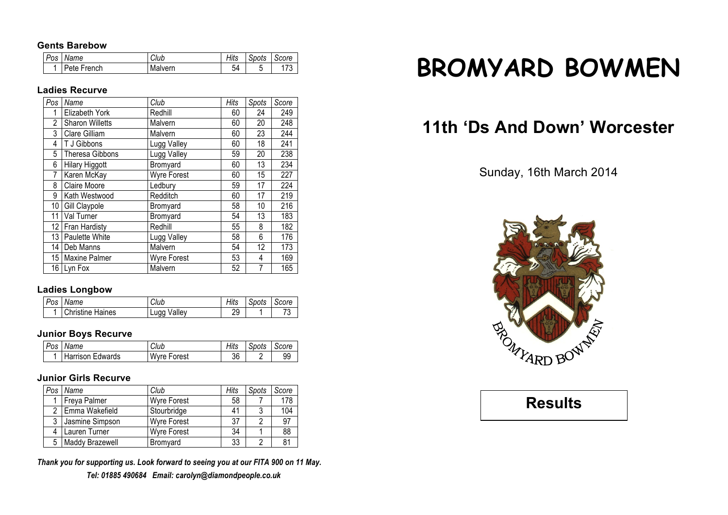#### **Gents Barebow**

| Pos | Name        | Club    | Hits | ⌒<br>Spots | Score                           |
|-----|-------------|---------|------|------------|---------------------------------|
|     | Pete French | Malvern | 54   | ີ          | $\overline{\phantom{a}}$<br>ں ا |

## **Ladies Recurve**

| $P_{OS}$        | Name                   | Club               | Hits | Spots | Score |
|-----------------|------------------------|--------------------|------|-------|-------|
|                 | Elizabeth York         | Redhill            | 60   | 24    | 249   |
| $\overline{2}$  | <b>Sharon Willetts</b> | Malvern            | 60   | 20    | 248   |
| 3               | Clare Gilliam          | Malvern            | 60   | 23    | 244   |
| 4               | T J Gibbons            | Lugg Valley        | 60   | 18    | 241   |
| 5               | <b>Theresa Gibbons</b> | Lugg Valley        | 59   | 20    | 238   |
| 6               | <b>Hilary Higgott</b>  | Bromyard           | 60   | 13    | 234   |
| 7               | Karen McKay            | <b>Wyre Forest</b> | 60   | 15    | 227   |
| 8               | <b>Claire Moore</b>    | Ledbury            | 59   | 17    | 224   |
| 9               | Kath Westwood          | Redditch           | 60   | 17    | 219   |
| 10              | Gill Claypole          | Bromyard           | 58   | 10    | 216   |
| 11              | Val Turner             | Bromyard           | 54   | 13    | 183   |
| 12              | Fran Hardisty          | Redhill            | 55   | 8     | 182   |
| 13              | Paulette White         | Lugg Valley        | 58   | 6     | 176   |
| 14              | Deb Manns              | Malvern            | 54   | 12    | 173   |
| 15 <sup>1</sup> | <b>Maxine Palmer</b>   | <b>Wyre Forest</b> | 53   | 4     | 169   |
|                 | 16 Lyn Fox             | Malvern            | 52   | 7     | 165   |

#### **Ladies Longbow**

| Pos | Name                    | Club        | Hits    | Spots | Score |
|-----|-------------------------|-------------|---------|-------|-------|
|     | <b>Christine Haines</b> | ∟ugg Valley | ο.<br>ີ |       | J     |

## **Junior Boys Recurve**

| Pos | Name                    | Club               | Hits | . Spots | Score |
|-----|-------------------------|--------------------|------|---------|-------|
|     | <b>Harrison Edwards</b> | <b>Wyre Forest</b> | 36   |         | 99    |

## **Junior Girls Recurve**

| Pos | Name                   | Club               | Hits | Spots | Score |
|-----|------------------------|--------------------|------|-------|-------|
|     | Freya Palmer           | <b>Wyre Forest</b> | 58   |       | 178   |
|     | 2 Emma Wakefield       | Stourbridge        | 41   |       | 104   |
| 3   | Jasmine Simpson        | <b>Wyre Forest</b> | 37   |       | 97    |
|     | Lauren Turner          | <b>Wyre Forest</b> | 34   |       | 88    |
| 5   | <b>Maddy Brazewell</b> | <b>Bromvard</b>    | 33   |       | 81    |

*Thank you for supporting us. Look forward to seeing you at our FITA 900 on 11 May. Tel: 01885 490684 Email: carolyn@diamondpeople.co.uk*

# **BROMYARD BOWMEN**

## **11th 'Ds And Down' Worcester**

## Sunday, 16th March 2014



**Results**